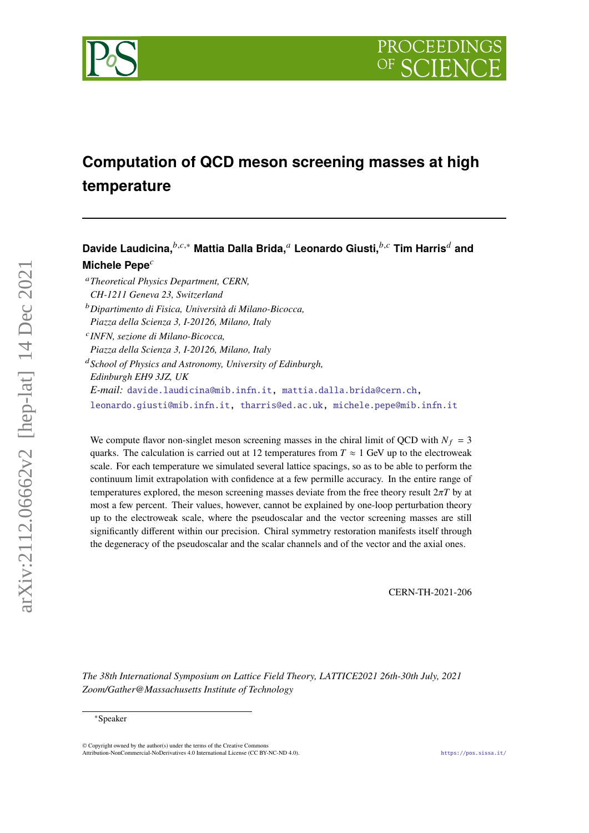

# **Computation of QCD meson screening masses at high temperature**

Davide Laudicina,<sup>*b,c,∗*</sup> Mattia Dalla Brida,<sup>*a*</sup> Leonardo Giusti,<sup>*b,c*</sup> Tim Harris<sup>*d*</sup> and **Michele Pepe**

*Theoretical Physics Department, CERN,*

- *CH-1211 Geneva 23, Switzerland*
- *Dipartimento di Fisica, Università di Milano-Bicocca, Piazza della Scienza 3, I-20126, Milano, Italy*
- 

*INFN, sezione di Milano-Bicocca,*

*Piazza della Scienza 3, I-20126, Milano, Italy*

*School of Physics and Astronomy, University of Edinburgh, Edinburgh EH9 3JZ, UK E-mail:* [davide.laudicina@mib.infn.it,](mailto:davide.laudicina@mib.infn.it) [mattia.dalla.brida@cern.ch,](mailto:mattia.dalla.brida@cern.ch) [leonardo.giusti@mib.infn.it,](mailto:leonardo.giusti@mib.infn.it) [tharris@ed.ac.uk,](mailto:tharris@ed.ac.uk) [michele.pepe@mib.infn.it](mailto:michele.pepe@mib.infn.it)

We compute flavor non-singlet meson screening masses in the chiral limit of QCD with  $N_f = 3$ quarks. The calculation is carried out at 12 temperatures from  $T \approx 1$  GeV up to the electroweak scale. For each temperature we simulated several lattice spacings, so as to be able to perform the continuum limit extrapolation with confidence at a few permille accuracy. In the entire range of temperatures explored, the meson screening masses deviate from the free theory result  $2\pi T$  by at most a few percent. Their values, however, cannot be explained by one-loop perturbation theory up to the electroweak scale, where the pseudoscalar and the vector screening masses are still significantly different within our precision. Chiral symmetry restoration manifests itself through the degeneracy of the pseudoscalar and the scalar channels and of the vector and the axial ones.

CERN-TH-2021-206

*The 38th International Symposium on Lattice Field Theory, LATTICE2021 26th-30th July, 2021 Zoom/Gather@Massachusetts Institute of Technology*

© Copyright owned by the author(s) under the terms of the Creative Commons Attribution-NonCommercial-NoDerivatives 4.0 International License (CC BY-NC-ND 4.0). <https://pos.sissa.it/>

arXiv:2112.06662v2 [hep-lat] 14 Dec 2021

 $arXiv:2112.06662v2$  [hep-lat] 14 Dec 2021

<sup>∗</sup>Speaker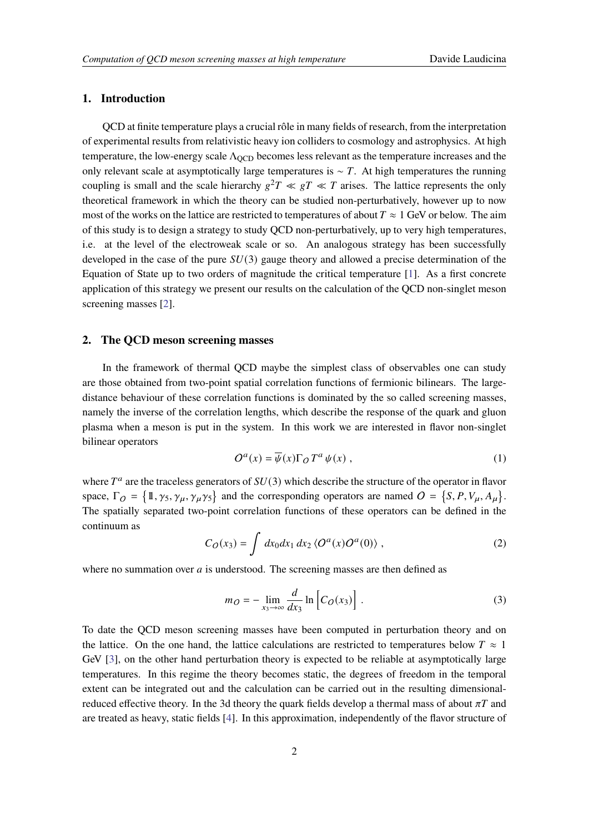# **1. Introduction**

QCD at finite temperature plays a crucial rôle in many fields of research, from the interpretation of experimental results from relativistic heavy ion colliders to cosmology and astrophysics. At high temperature, the low-energy scale  $\Lambda_{\text{OCD}}$  becomes less relevant as the temperature increases and the only relevant scale at asymptotically large temperatures is  $\sim T$ . At high temperatures the running coupling is small and the scale hierarchy  $g^2T \ll gT \ll T$  arises. The lattice represents the only theoretical framework in which the theory can be studied non-perturbatively, however up to now most of the works on the lattice are restricted to temperatures of about  $T \approx 1$  GeV or below. The aim of this study is to design a strategy to study QCD non-perturbatively, up to very high temperatures, i.e. at the level of the electroweak scale or so. An analogous strategy has been successfully developed in the case of the pure  $SU(3)$  gauge theory and allowed a precise determination of the Equation of State up to two orders of magnitude the critical temperature [\[1\]](#page-7-0). As a first concrete application of this strategy we present our results on the calculation of the QCD non-singlet meson screening masses [\[2\]](#page-7-1).

# **2. The QCD meson screening masses**

In the framework of thermal QCD maybe the simplest class of observables one can study are those obtained from two-point spatial correlation functions of fermionic bilinears. The largedistance behaviour of these correlation functions is dominated by the so called screening masses, namely the inverse of the correlation lengths, which describe the response of the quark and gluon plasma when a meson is put in the system. In this work we are interested in flavor non-singlet bilinear operators

$$
O^a(x) = \overline{\psi}(x)\Gamma_O T^a \psi(x) , \qquad (1)
$$

where  $T^a$  are the traceless generators of  $SU(3)$  which describe the structure of the operator in flavor space,  $\Gamma_O = \{1, \gamma_5, \gamma_\mu, \gamma_\mu \gamma_5\}$  and the corresponding operators are named  $O = \{S, P, V_\mu, A_\mu\}.$ The spatially separated two-point correlation functions of these operators can be defined in the continuum as

<span id="page-1-0"></span>
$$
C_O(x_3) = \int dx_0 dx_1 dx_2 \langle O^a(x) O^a(0) \rangle , \qquad (2)
$$

where no summation over  $a$  is understood. The screening masses are then defined as

$$
m_O = -\lim_{x_3 \to \infty} \frac{d}{dx_3} \ln \left[ C_O(x_3) \right]. \tag{3}
$$

To date the QCD meson screening masses have been computed in perturbation theory and on the lattice. On the one hand, the lattice calculations are restricted to temperatures below  $T \approx 1$ GeV [\[3\]](#page-7-2), on the other hand perturbation theory is expected to be reliable at asymptotically large temperatures. In this regime the theory becomes static, the degrees of freedom in the temporal extent can be integrated out and the calculation can be carried out in the resulting dimensionalreduced effective theory. In the 3d theory the quark fields develop a thermal mass of about  $\pi T$  and are treated as heavy, static fields [\[4\]](#page-7-3). In this approximation, independently of the flavor structure of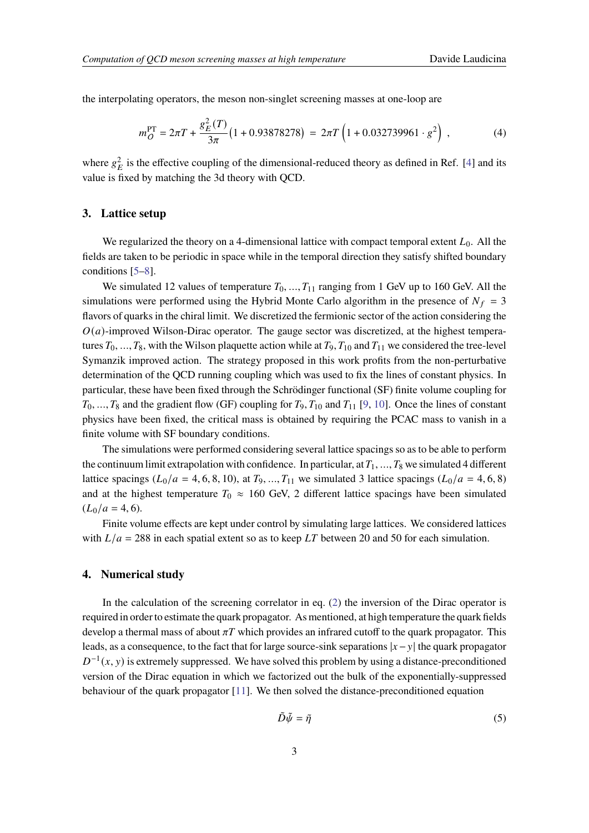the interpolating operators, the meson non-singlet screening masses at one-loop are

$$
m_Q^{\rm PT} = 2\pi T + \frac{g_E^2(T)}{3\pi} \left(1 + 0.93878278\right) = 2\pi T \left(1 + 0.032739961 \cdot g^2\right) ,\qquad (4)
$$

where  $g_E^2$  is the effective coupling of the dimensional-reduced theory as defined in Ref. [\[4\]](#page-7-3) and its value is fixed by matching the 3d theory with QCD.

# **3. Lattice setup**

We regularized the theory on a 4-dimensional lattice with compact temporal extent  $L_0$ . All the fields are taken to be periodic in space while in the temporal direction they satisfy shifted boundary conditions [\[5–](#page-7-4)[8\]](#page-7-5).

We simulated 12 values of temperature  $T_0, ..., T_{11}$  ranging from 1 GeV up to 160 GeV. All the simulations were performed using the Hybrid Monte Carlo algorithm in the presence of  $N_f = 3$ flavors of quarks in the chiral limit. We discretized the fermionic sector of the action considering the  $O(a)$ -improved Wilson-Dirac operator. The gauge sector was discretized, at the highest temperatures  $T_0, ..., T_8$ , with the Wilson plaquette action while at  $T_9, T_{10}$  and  $T_{11}$  we considered the tree-level Symanzik improved action. The strategy proposed in this work profits from the non-perturbative determination of the QCD running coupling which was used to fix the lines of constant physics. In particular, these have been fixed through the Schrödinger functional (SF) finite volume coupling for  $T_0, ..., T_8$  and the gradient flow (GF) coupling for  $T_9, T_{10}$  and  $T_{11}$  [\[9,](#page-7-6) [10\]](#page-7-7). Once the lines of constant physics have been fixed, the critical mass is obtained by requiring the PCAC mass to vanish in a finite volume with SF boundary conditions.

The simulations were performed considering several lattice spacings so as to be able to perform the continuum limit extrapolation with confidence. In particular, at  $T_1, ..., T_8$  we simulated 4 different lattice spacings ( $L_0/a = 4, 6, 8, 10$ ), at  $T_9, ..., T_{11}$  we simulated 3 lattice spacings ( $L_0/a = 4, 6, 8$ ) and at the highest temperature  $T_0 \approx 160$  GeV, 2 different lattice spacings have been simulated  $(L_0/a = 4, 6).$ 

Finite volume effects are kept under control by simulating large lattices. We considered lattices with  $L/a = 288$  in each spatial extent so as to keep LT between 20 and 50 for each simulation.

#### **4. Numerical study**

In the calculation of the screening correlator in eq. [\(2\)](#page-1-0) the inversion of the Dirac operator is required in order to estimate the quark propagator. As mentioned, at high temperature the quark fields develop a thermal mass of about  $\pi T$  which provides an infrared cutoff to the quark propagator. This leads, as a consequence, to the fact that for large source-sink separations  $|x-y|$  the quark propagator  $D^{-1}(x, y)$  is extremely suppressed. We have solved this problem by using a distance-preconditioned version of the Dirac equation in which we factorized out the bulk of the exponentially-suppressed behaviour of the quark propagator [\[11\]](#page-7-8). We then solved the distance-preconditioned equation

$$
\tilde{D}\tilde{\psi} = \tilde{\eta} \tag{5}
$$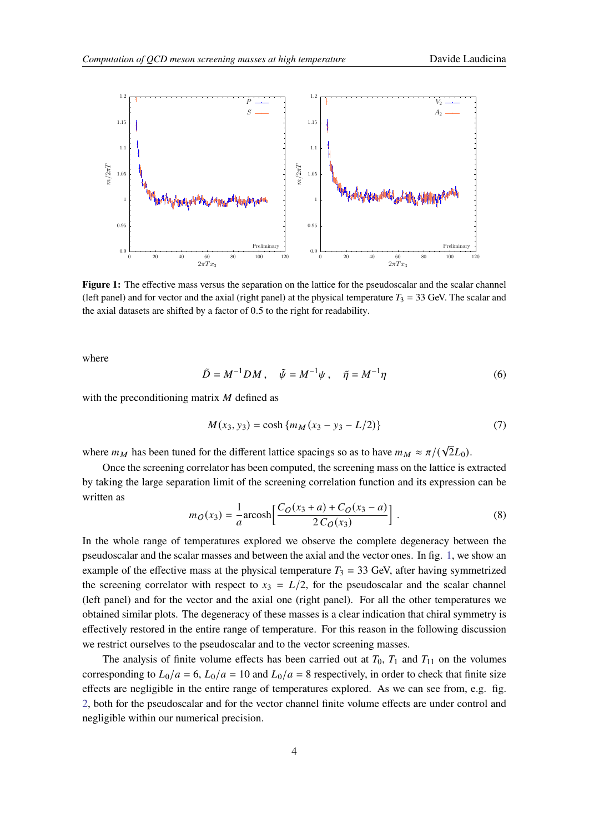<span id="page-3-0"></span>

**Figure 1:** The effective mass versus the separation on the lattice for the pseudoscalar and the scalar channel (left panel) and for vector and the axial (right panel) at the physical temperature  $T_3 = 33$  GeV. The scalar and the axial datasets are shifted by a factor of 0.5 to the right for readability.

where

$$
\tilde{D} = M^{-1}DM , \quad \tilde{\psi} = M^{-1}\psi , \quad \tilde{\eta} = M^{-1}\eta
$$
\n<sup>(6)</sup>

with the preconditioning matrix  $M$  defined as

$$
M(x_3, y_3) = \cosh\{m_M(x_3 - y_3 - L/2)\}\tag{7}
$$

where  $m_M$  has been tuned for the different lattice spacings so as to have  $m_M \approx \pi/(\sqrt{2}L_0)$ .

Once the screening correlator has been computed, the screening mass on the lattice is extracted by taking the large separation limit of the screening correlation function and its expression can be written as

$$
m_O(x_3) = \frac{1}{a} \operatorname{arcosh} \left[ \frac{C_O(x_3 + a) + C_O(x_3 - a)}{2 C_O(x_3)} \right].
$$
 (8)

In the whole range of temperatures explored we observe the complete degeneracy between the pseudoscalar and the scalar masses and between the axial and the vector ones. In fig. [1,](#page-3-0) we show an example of the effective mass at the physical temperature  $T_3 = 33$  GeV, after having symmetrized the screening correlator with respect to  $x_3 = L/2$ , for the pseudoscalar and the scalar channel (left panel) and for the vector and the axial one (right panel). For all the other temperatures we obtained similar plots. The degeneracy of these masses is a clear indication that chiral symmetry is effectively restored in the entire range of temperature. For this reason in the following discussion we restrict ourselves to the pseudoscalar and to the vector screening masses.

The analysis of finite volume effects has been carried out at  $T_0$ ,  $T_1$  and  $T_{11}$  on the volumes corresponding to  $L_0/a = 6$ ,  $L_0/a = 10$  and  $L_0/a = 8$  respectively, in order to check that finite size effects are negligible in the entire range of temperatures explored. As we can see from, e.g. fig. [2,](#page-4-0) both for the pseudoscalar and for the vector channel finite volume effects are under control and negligible within our numerical precision.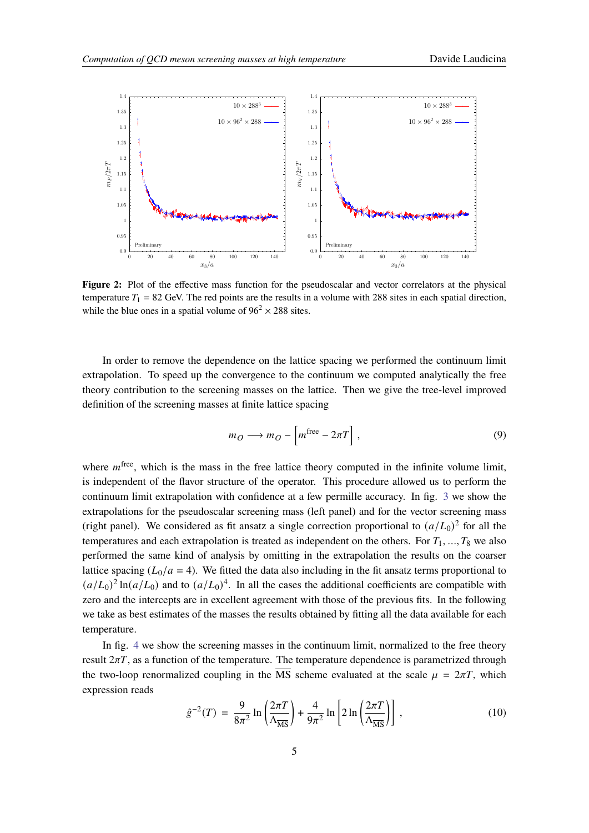<span id="page-4-0"></span>

Figure 2: Plot of the effective mass function for the pseudoscalar and vector correlators at the physical temperature  $T_1 = 82$  GeV. The red points are the results in a volume with 288 sites in each spatial direction, while the blue ones in a spatial volume of  $96^2 \times 288$  sites.

In order to remove the dependence on the lattice spacing we performed the continuum limit extrapolation. To speed up the convergence to the continuum we computed analytically the free theory contribution to the screening masses on the lattice. Then we give the tree-level improved definition of the screening masses at finite lattice spacing

$$
m_O \longrightarrow m_O - \left[ m^{\text{free}} - 2\pi T \right],\tag{9}
$$

where  $m^{\text{free}}$ , which is the mass in the free lattice theory computed in the infinite volume limit, is independent of the flavor structure of the operator. This procedure allowed us to perform the continuum limit extrapolation with confidence at a few permille accuracy. In fig. [3](#page-5-0) we show the extrapolations for the pseudoscalar screening mass (left panel) and for the vector screening mass (right panel). We considered as fit ansatz a single correction proportional to  $(a/L_0)^2$  for all the temperatures and each extrapolation is treated as independent on the others. For  $T_1, ..., T_8$  we also performed the same kind of analysis by omitting in the extrapolation the results on the coarser lattice spacing  $(L_0/a = 4)$ . We fitted the data also including in the fit ansatz terms proportional to  $(a/L_0)^2 \ln(a/L_0)$  and to  $(a/L_0)^4$ . In all the cases the additional coefficients are compatible with zero and the intercepts are in excellent agreement with those of the previous fits. In the following we take as best estimates of the masses the results obtained by fitting all the data available for each temperature.

In fig. [4](#page-5-1) we show the screening masses in the continuum limit, normalized to the free theory result  $2\pi T$ , as a function of the temperature. The temperature dependence is parametrized through the two-loop renormalized coupling in the  $\overline{\text{MS}}$  scheme evaluated at the scale  $\mu = 2\pi T$ , which expression reads

$$
\hat{g}^{-2}(T) = \frac{9}{8\pi^2} \ln\left(\frac{2\pi T}{\Lambda_{\overline{\text{MS}}}}\right) + \frac{4}{9\pi^2} \ln\left[2\ln\left(\frac{2\pi T}{\Lambda_{\overline{\text{MS}}}}\right)\right],\tag{10}
$$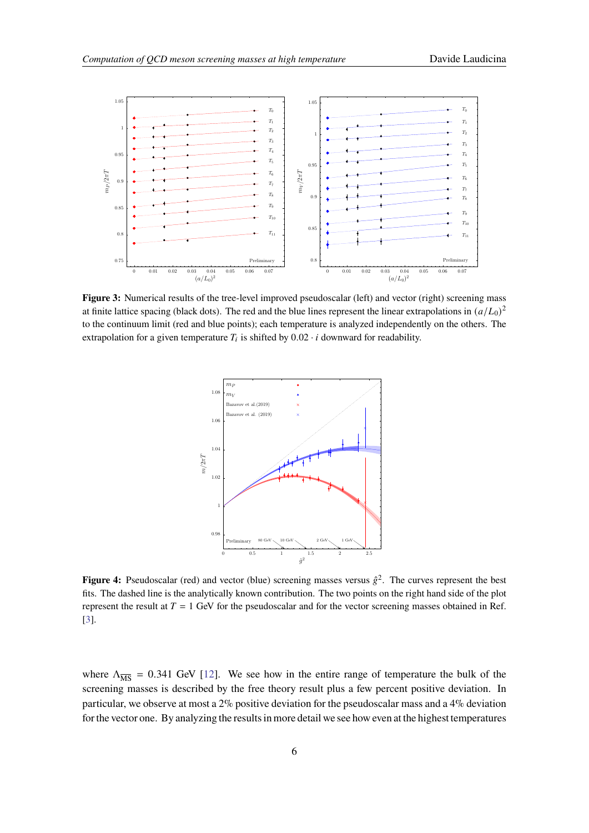<span id="page-5-0"></span>

<span id="page-5-1"></span>**Figure 3:** Numerical results of the tree-level improved pseudoscalar (left) and vector (right) screening mass at finite lattice spacing (black dots). The red and the blue lines represent the linear extrapolations in  $(a/L_0)^2$ to the continuum limit (red and blue points); each temperature is analyzed independently on the others. The extrapolation for a given temperature  $T_i$  is shifted by  $0.02 \cdot i$  downward for readability.



**Figure 4:** Pseudoscalar (red) and vector (blue) screening masses versus  $\hat{g}^2$ . The curves represent the best fits. The dashed line is the analytically known contribution. The two points on the right hand side of the plot represent the result at  $T = 1$  GeV for the pseudoscalar and for the vector screening masses obtained in Ref. [\[3\]](#page-7-2).

where  $\Lambda_{\overline{\text{MS}}}$  = 0.341 GeV [\[12\]](#page-7-9). We see how in the entire range of temperature the bulk of the screening masses is described by the free theory result plus a few percent positive deviation. In particular, we observe at most a  $2\%$  positive deviation for the pseudoscalar mass and a  $4\%$  deviation for the vector one. By analyzing the results in more detail we see how even at the highest temperatures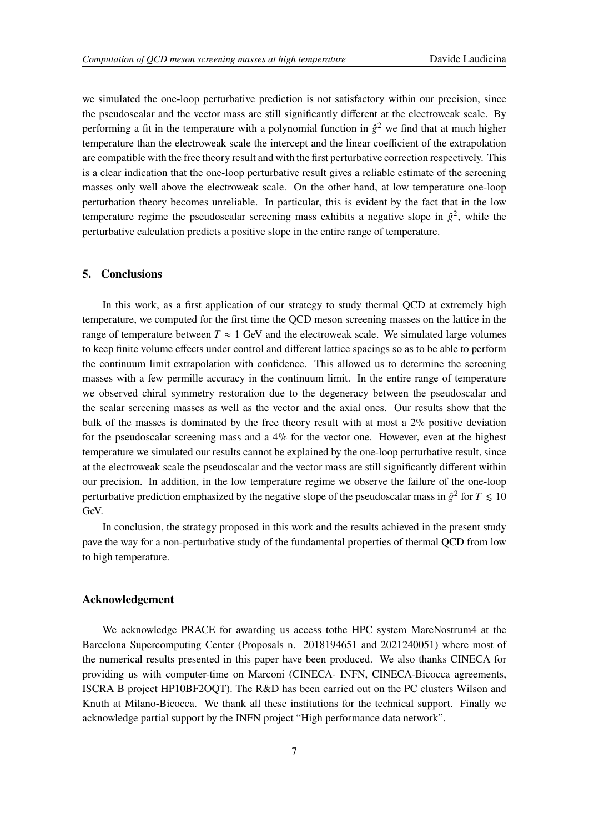we simulated the one-loop perturbative prediction is not satisfactory within our precision, since the pseudoscalar and the vector mass are still significantly different at the electroweak scale. By performing a fit in the temperature with a polynomial function in  $\hat{g}^2$  we find that at much higher temperature than the electroweak scale the intercept and the linear coefficient of the extrapolation are compatible with the free theory result and with the first perturbative correction respectively. This is a clear indication that the one-loop perturbative result gives a reliable estimate of the screening masses only well above the electroweak scale. On the other hand, at low temperature one-loop perturbation theory becomes unreliable. In particular, this is evident by the fact that in the low temperature regime the pseudoscalar screening mass exhibits a negative slope in  $\hat{g}^2$ , while the perturbative calculation predicts a positive slope in the entire range of temperature.

## **5. Conclusions**

In this work, as a first application of our strategy to study thermal QCD at extremely high temperature, we computed for the first time the QCD meson screening masses on the lattice in the range of temperature between  $T \approx 1$  GeV and the electroweak scale. We simulated large volumes to keep finite volume effects under control and different lattice spacings so as to be able to perform the continuum limit extrapolation with confidence. This allowed us to determine the screening masses with a few permille accuracy in the continuum limit. In the entire range of temperature we observed chiral symmetry restoration due to the degeneracy between the pseudoscalar and the scalar screening masses as well as the vector and the axial ones. Our results show that the bulk of the masses is dominated by the free theory result with at most a 2% positive deviation for the pseudoscalar screening mass and a  $4\%$  for the vector one. However, even at the highest temperature we simulated our results cannot be explained by the one-loop perturbative result, since at the electroweak scale the pseudoscalar and the vector mass are still significantly different within our precision. In addition, in the low temperature regime we observe the failure of the one-loop perturbative prediction emphasized by the negative slope of the pseudoscalar mass in  $\hat{g}^2$  for  $T \leq 10$ GeV.

In conclusion, the strategy proposed in this work and the results achieved in the present study pave the way for a non-perturbative study of the fundamental properties of thermal QCD from low to high temperature.

## **Acknowledgement**

We acknowledge PRACE for awarding us access to the HPC system MareNostrum4 at the Barcelona Supercomputing Center (Proposals n. 2018194651 and 2021240051) where most of the numerical results presented in this paper have been produced. We also thanks CINECA for providing us with computer-time on Marconi (CINECA- INFN, CINECA-Bicocca agreements, ISCRA B project HP10BF2OQT). The R&D has been carried out on the PC clusters Wilson and Knuth at Milano-Bicocca. We thank all these institutions for the technical support. Finally we acknowledge partial support by the INFN project "High performance data network".